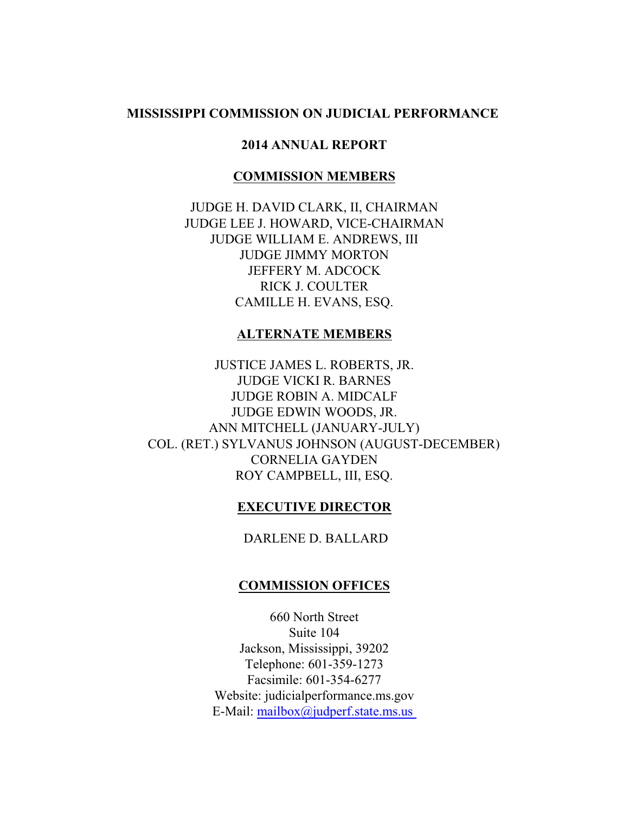## **MISSISSIPPI COMMISSION ON JUDICIAL PERFORMANCE**

### **2014 ANNUAL REPORT**

### **COMMISSION MEMBERS**

JUDGE H. DAVID CLARK, II, CHAIRMAN JUDGE LEE J. HOWARD, VICE-CHAIRMAN JUDGE WILLIAM E. ANDREWS, III JUDGE JIMMY MORTON JEFFERY M. ADCOCK RICK J. COULTER CAMILLE H. EVANS, ESQ.

### **ALTERNATE MEMBERS**

JUSTICE JAMES L. ROBERTS, JR. JUDGE VICKI R. BARNES JUDGE ROBIN A. MIDCALF JUDGE EDWIN WOODS, JR. ANN MITCHELL (JANUARY-JULY) COL. (RET.) SYLVANUS JOHNSON (AUGUST-DECEMBER) CORNELIA GAYDEN ROY CAMPBELL, III, ESQ.

### **EXECUTIVE DIRECTOR**

DARLENE D. BALLARD

### **COMMISSION OFFICES**

660 North Street Suite 104 Jackson, Mississippi, 39202 Telephone: 601-359-1273 Facsimile: 601-354-6277 Website: judicialperformance.ms.gov E-Mail: [mailbox@judperf.state.ms.us](mailto:mailbox@judperf.state.ms.)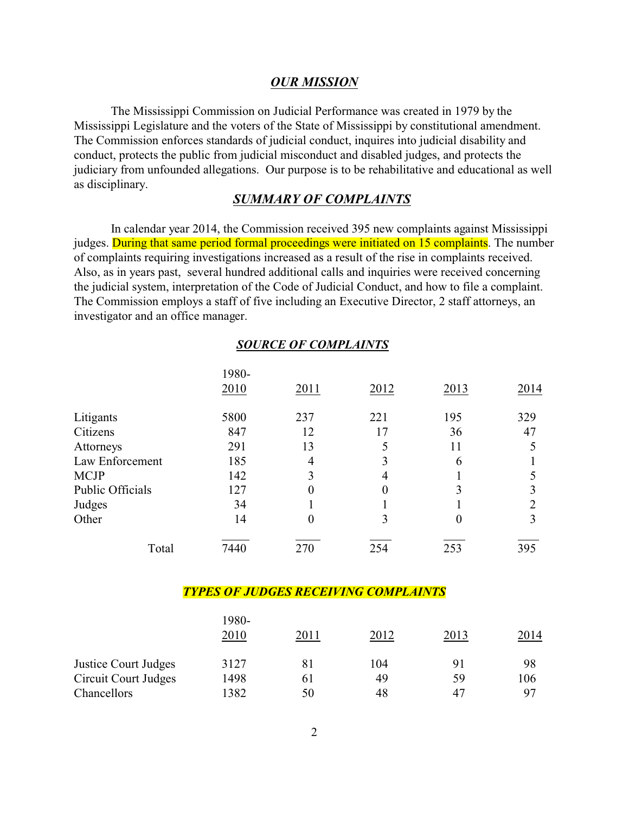### *OUR MISSION*

The Mississippi Commission on Judicial Performance was created in 1979 by the Mississippi Legislature and the voters of the State of Mississippi by constitutional amendment. The Commission enforces standards of judicial conduct, inquires into judicial disability and conduct, protects the public from judicial misconduct and disabled judges, and protects the judiciary from unfounded allegations. Our purpose is to be rehabilitative and educational as well as disciplinary.

### *SUMMARY OF COMPLAINTS*

In calendar year 2014, the Commission received 395 new complaints against Mississippi judges. During that same period formal proceedings were initiated on 15 complaints. The number of complaints requiring investigations increased as a result of the rise in complaints received. Also, as in years past, several hundred additional calls and inquiries were received concerning the judicial system, interpretation of the Code of Judicial Conduct, and how to file a complaint. The Commission employs a staff of five including an Executive Director, 2 staff attorneys, an investigator and an office manager.

|                  |       | <b>SOURCE OF COMPLAINTS</b> |      |      |      |
|------------------|-------|-----------------------------|------|------|------|
|                  | 1980- |                             |      |      |      |
|                  | 2010  | 2011                        | 2012 | 2013 | 2014 |
| Litigants        | 5800  | 237                         | 221  | 195  | 329  |
| Citizens         | 847   | 12                          | 17   | 36   | 47   |
| Attorneys        | 291   | 13                          |      | 11   |      |
| Law Enforcement  | 185   | 4                           |      | 6    |      |
| <b>MCJP</b>      | 142   | 3                           | 4    |      |      |
| Public Officials | 127   | $\Omega$                    | 0    | 3    |      |
| Judges           | 34    |                             |      |      | 2    |
| Other            | 14    | $\theta$                    | 3    | 0    |      |
| Total            | 7440  | 270                         | 254  | 253  | 395  |

#### *TYPES OF JUDGES RECEIVING COMPLAINTS*

|                      | 1980-<br>2010 | 2011 | 2012 | 2013 | 2014           |
|----------------------|---------------|------|------|------|----------------|
| Justice Court Judges | 3127          | 81   | 104  | 91   | 98             |
| Circuit Court Judges | 1498          | 61   | 49   | 59   | 106            |
| Chancellors          | 1382          | 50   | 48   | 47   | Q <sub>7</sub> |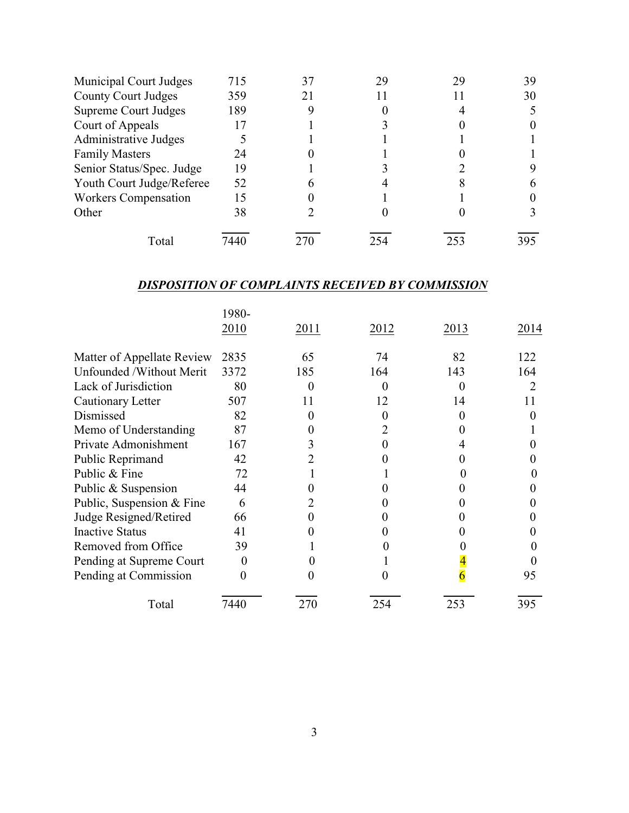| Municipal Court Judges      | 715  |     | 29 | 39  |
|-----------------------------|------|-----|----|-----|
| <b>County Court Judges</b>  | 359  |     |    | 30  |
| <b>Supreme Court Judges</b> | 189  |     |    |     |
| Court of Appeals            |      |     |    |     |
| Administrative Judges       |      |     |    |     |
| <b>Family Masters</b>       | 24   |     |    |     |
| Senior Status/Spec. Judge   | 19   |     |    |     |
| Youth Court Judge/Referee   | 52   |     |    |     |
| <b>Workers Compensation</b> | 15   |     |    |     |
| Other                       | 38   |     |    |     |
| Total                       | 7440 | 254 |    | 395 |

# *DISPOSITION OF COMPLAINTS RECEIVED BY COMMISSION*

|                            | 1980- |      |      |      |      |
|----------------------------|-------|------|------|------|------|
|                            | 2010  | 2011 | 2012 | 2013 | 2014 |
| Matter of Appellate Review | 2835  | 65   | 74   | 82   | 122  |
| Unfounded /Without Merit   | 3372  | 185  | 164  | 143  | 164  |
| Lack of Jurisdiction       | 80    |      |      |      |      |
| Cautionary Letter          | 507   | 11   | 12   | 14   | 11   |
| Dismissed                  | 82    |      |      |      |      |
| Memo of Understanding      | 87    |      |      |      |      |
| Private Admonishment       | 167   |      |      |      |      |
| Public Reprimand           | 42    |      |      |      |      |
| Public & Fine              | 72    |      |      |      |      |
| Public & Suspension        | 44    |      |      |      |      |
| Public, Suspension & Fine  | 6     |      |      |      |      |
| Judge Resigned/Retired     | 66    |      |      |      |      |
| <b>Inactive Status</b>     | 41    |      |      |      |      |
| Removed from Office        | 39    |      |      |      |      |
| Pending at Supreme Court   | 0     |      |      |      |      |
| Pending at Commission      |       |      |      |      | 95   |
| Total                      | 7440  | 270  | 254  | 253  | 395  |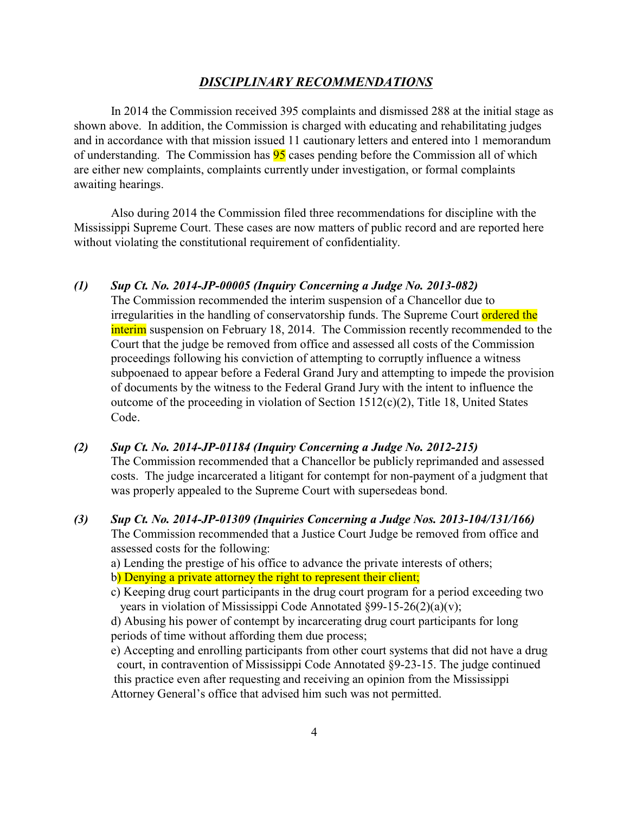### *DISCIPLINARY RECOMMENDATIONS*

In 2014 the Commission received 395 complaints and dismissed 288 at the initial stage as shown above. In addition, the Commission is charged with educating and rehabilitating judges and in accordance with that mission issued 11 cautionary letters and entered into 1 memorandum of understanding. The Commission has **95** cases pending before the Commission all of which are either new complaints, complaints currently under investigation, or formal complaints awaiting hearings.

Also during 2014 the Commission filed three recommendations for discipline with the Mississippi Supreme Court. These cases are now matters of public record and are reported here without violating the constitutional requirement of confidentiality.

#### *(1) Sup Ct. No. 2014-JP-00005 (Inquiry Concerning a Judge No. 2013-082)*

- The Commission recommended the interim suspension of a Chancellor due to irregularities in the handling of conservatorship funds. The Supreme Court ordered the interim suspension on February 18, 2014. The Commission recently recommended to the Court that the judge be removed from office and assessed all costs of the Commission proceedings following his conviction of attempting to corruptly influence a witness subpoenaed to appear before a Federal Grand Jury and attempting to impede the provision of documents by the witness to the Federal Grand Jury with the intent to influence the outcome of the proceeding in violation of Section 1512(c)(2), Title 18, United States Code.
- *(2) Sup Ct. No. 2014-JP-01184 (Inquiry Concerning a Judge No. 2012-215)* The Commission recommended that a Chancellor be publicly reprimanded and assessed costs. The judge incarcerated a litigant for contempt for non-payment of a judgment that was properly appealed to the Supreme Court with supersedeas bond.
- *(3) Sup Ct. No. 2014-JP-01309 (Inquiries Concerning a Judge Nos. 2013-104/131/166)* The Commission recommended that a Justice Court Judge be removed from office and assessed costs for the following:
	- a) Lending the prestige of his office to advance the private interests of others;
	- b) Denying a private attorney the right to represent their client;
	- c) Keeping drug court participants in the drug court program for a period exceeding two years in violation of Mississippi Code Annotated §99-15-26(2)(a)(v);

d) Abusing his power of contempt by incarcerating drug court participants for long periods of time without affording them due process;

e) Accepting and enrolling participants from other court systems that did not have a drug court, in contravention of Mississippi Code Annotated §9-23-15. The judge continued this practice even after requesting and receiving an opinion from the Mississippi Attorney General's office that advised him such was not permitted.